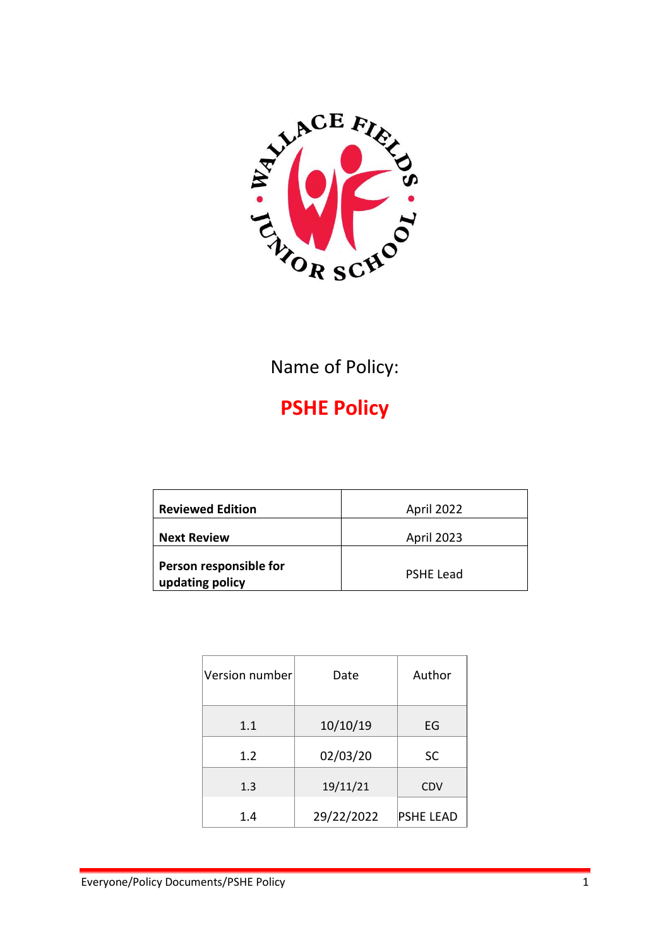

### Name of Policy:

# **PSHE Policy**

| <b>Reviewed Edition</b>                   | April 2022       |
|-------------------------------------------|------------------|
| <b>Next Review</b>                        | April 2023       |
| Person responsible for<br>updating policy | <b>PSHE Lead</b> |

| Version number | Date       | Author           |
|----------------|------------|------------------|
| 1.1            | 10/10/19   | EG               |
| 1.2            | 02/03/20   | <b>SC</b>        |
| 1.3            | 19/11/21   | <b>CDV</b>       |
| 1.4            | 29/22/2022 | <b>PSHE LEAD</b> |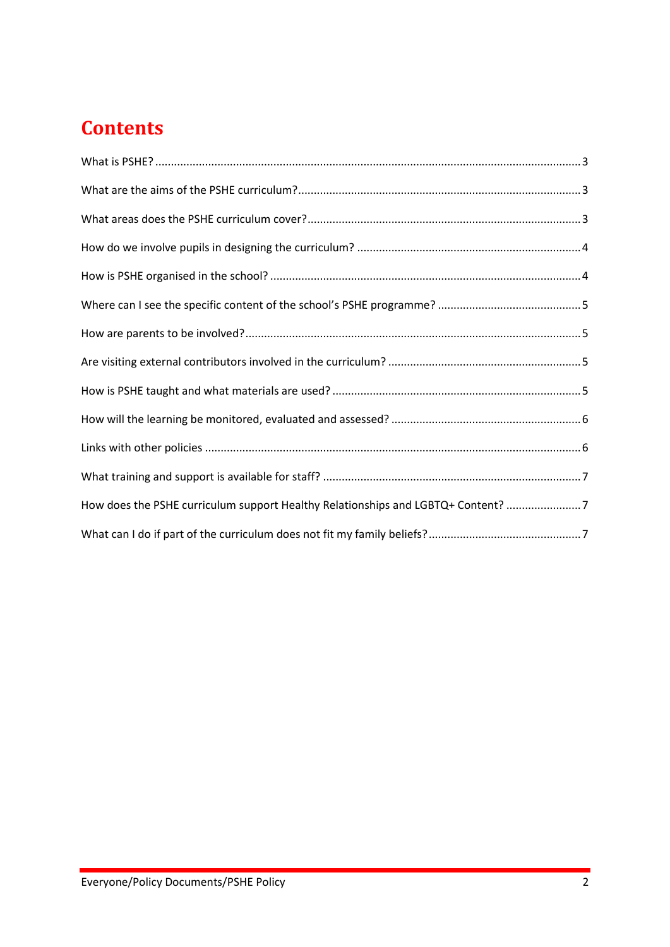# **Contents**

| How does the PSHE curriculum support Healthy Relationships and LGBTQ+ Content? 7 |  |
|----------------------------------------------------------------------------------|--|
|                                                                                  |  |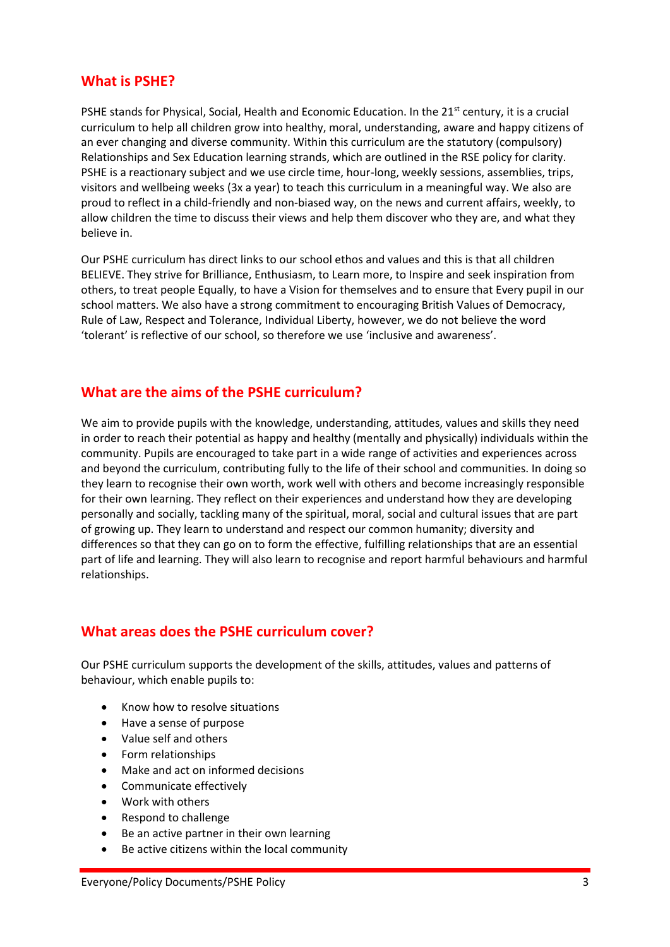#### <span id="page-2-0"></span>**What is PSHE?**

PSHE stands for Physical, Social, Health and Economic Education. In the 21<sup>st</sup> century, it is a crucial curriculum to help all children grow into healthy, moral, understanding, aware and happy citizens of an ever changing and diverse community. Within this curriculum are the statutory (compulsory) Relationships and Sex Education learning strands, which are outlined in the RSE policy for clarity. PSHE is a reactionary subject and we use circle time, hour-long, weekly sessions, assemblies, trips, visitors and wellbeing weeks (3x a year) to teach this curriculum in a meaningful way. We also are proud to reflect in a child-friendly and non-biased way, on the news and current affairs, weekly, to allow children the time to discuss their views and help them discover who they are, and what they believe in.

Our PSHE curriculum has direct links to our school ethos and values and this is that all children BELIEVE. They strive for Brilliance, Enthusiasm, to Learn more, to Inspire and seek inspiration from others, to treat people Equally, to have a Vision for themselves and to ensure that Every pupil in our school matters. We also have a strong commitment to encouraging British Values of Democracy, Rule of Law, Respect and Tolerance, Individual Liberty, however, we do not believe the word 'tolerant' is reflective of our school, so therefore we use 'inclusive and awareness'.

#### <span id="page-2-1"></span>**What are the aims of the PSHE curriculum?**

We aim to provide pupils with the knowledge, understanding, attitudes, values and skills they need in order to reach their potential as happy and healthy (mentally and physically) individuals within the community. Pupils are encouraged to take part in a wide range of activities and experiences across and beyond the curriculum, contributing fully to the life of their school and communities. In doing so they learn to recognise their own worth, work well with others and become increasingly responsible for their own learning. They reflect on their experiences and understand how they are developing personally and socially, tackling many of the spiritual, moral, social and cultural issues that are part of growing up. They learn to understand and respect our common humanity; diversity and differences so that they can go on to form the effective, fulfilling relationships that are an essential part of life and learning. They will also learn to recognise and report harmful behaviours and harmful relationships.

#### <span id="page-2-2"></span>**What areas does the PSHE curriculum cover?**

Our PSHE curriculum supports the development of the skills, attitudes, values and patterns of behaviour, which enable pupils to:

- Know how to resolve situations
- Have a sense of purpose
- Value self and others
- Form relationships
- Make and act on informed decisions
- Communicate effectively
- Work with others
- Respond to challenge
- Be an active partner in their own learning
- Be active citizens within the local community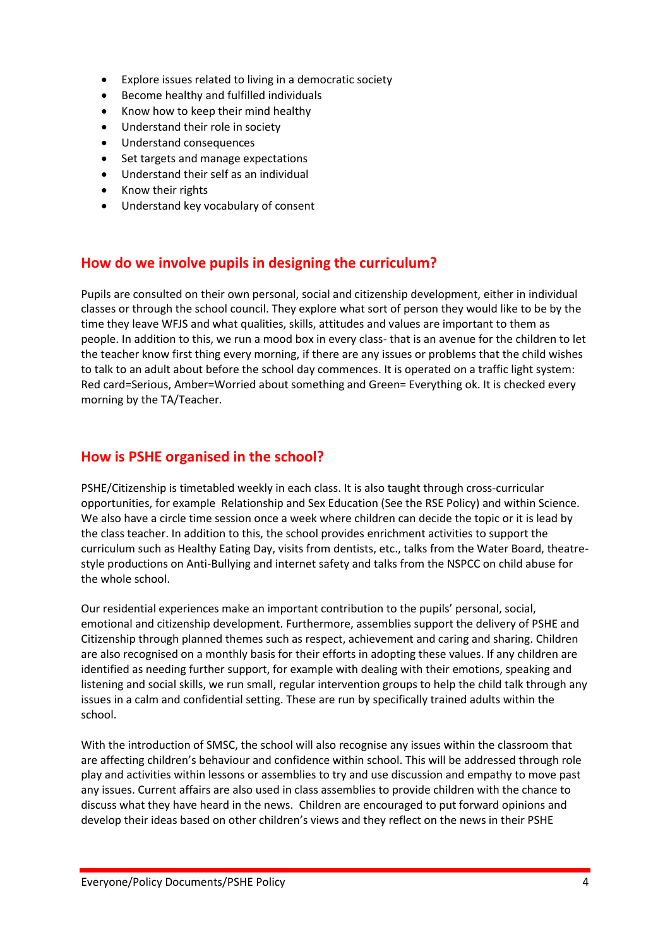- Explore issues related to living in a democratic society
- Become healthy and fulfilled individuals
- Know how to keep their mind healthy
- Understand their role in society
- Understand consequences
- Set targets and manage expectations
- Understand their self as an individual
- Know their rights
- Understand key vocabulary of consent

#### <span id="page-3-0"></span>**How do we involve pupils in designing the curriculum?**

Pupils are consulted on their own personal, social and citizenship development, either in individual classes or through the school council. They explore what sort of person they would like to be by the time they leave WFJS and what qualities, skills, attitudes and values are important to them as people. In addition to this, we run a mood box in every class- that is an avenue for the children to let the teacher know first thing every morning, if there are any issues or problems that the child wishes to talk to an adult about before the school day commences. It is operated on a traffic light system: Red card=Serious, Amber=Worried about something and Green= Everything ok. It is checked every morning by the TA/Teacher.

#### <span id="page-3-1"></span>**How is PSHE organised in the school?**

PSHE/Citizenship is timetabled weekly in each class. It is also taught through cross-curricular opportunities, for example Relationship and Sex Education (See the RSE Policy) and within Science. We also have a circle time session once a week where children can decide the topic or it is lead by the class teacher. In addition to this, the school provides enrichment activities to support the curriculum such as Healthy Eating Day, visits from dentists, etc., talks from the Water Board, theatrestyle productions on Anti-Bullying and internet safety and talks from the NSPCC on child abuse for the whole school.

Our residential experiences make an important contribution to the pupils' personal, social, emotional and citizenship development. Furthermore, assemblies support the delivery of PSHE and Citizenship through planned themes such as respect, achievement and caring and sharing. Children are also recognised on a monthly basis for their efforts in adopting these values. If any children are identified as needing further support, for example with dealing with their emotions, speaking and listening and social skills, we run small, regular intervention groups to help the child talk through any issues in a calm and confidential setting. These are run by specifically trained adults within the school.

With the introduction of SMSC, the school will also recognise any issues within the classroom that are affecting children's behaviour and confidence within school. This will be addressed through role play and activities within lessons or assemblies to try and use discussion and empathy to move past any issues. Current affairs are also used in class assemblies to provide children with the chance to discuss what they have heard in the news. Children are encouraged to put forward opinions and develop their ideas based on other children's views and they reflect on the news in their PSHE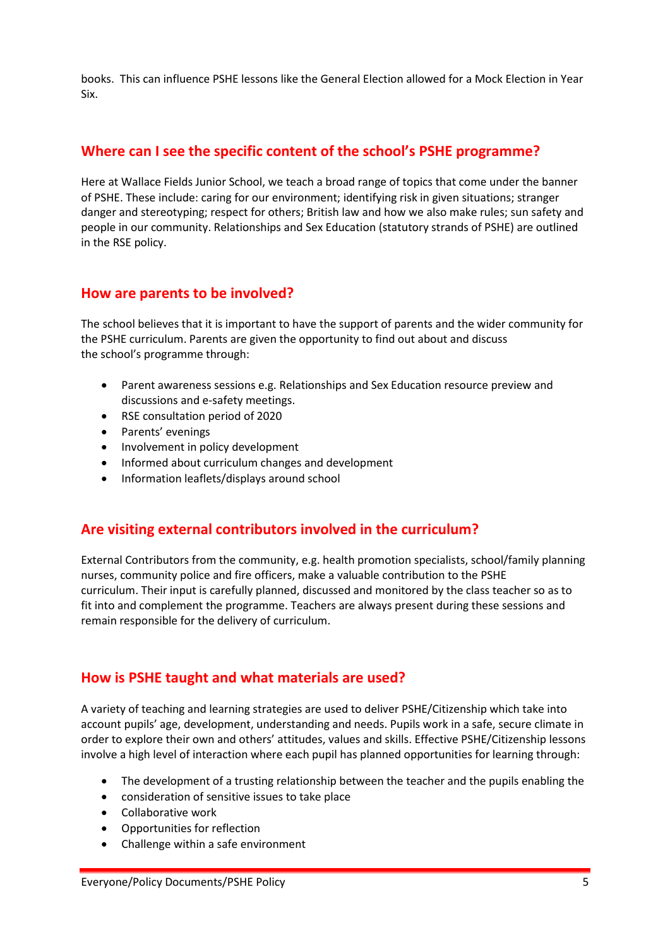books. This can influence PSHE lessons like the General Election allowed for a Mock Election in Year Six.

#### <span id="page-4-0"></span>**Where can I see the specific content of the school's PSHE programme?**

Here at Wallace Fields Junior School, we teach a broad range of topics that come under the banner of PSHE. These include: caring for our environment; identifying risk in given situations; stranger danger and stereotyping; respect for others; British law and how we also make rules; sun safety and people in our community. Relationships and Sex Education (statutory strands of PSHE) are outlined in the RSE policy.

#### <span id="page-4-1"></span>**How are parents to be involved?**

The school believes that it is important to have the support of parents and the wider community for the PSHE curriculum. Parents are given the opportunity to find out about and discuss the school's programme through:

- Parent awareness sessions e.g. Relationships and Sex Education resource preview and discussions and e-safety meetings.
- RSE consultation period of 2020
- Parents' evenings
- Involvement in policy development
- Informed about curriculum changes and development
- Information leaflets/displays around school

#### <span id="page-4-2"></span>**Are visiting external contributors involved in the curriculum?**

External Contributors from the community, e.g. health promotion specialists, school/family planning nurses, community police and fire officers, make a valuable contribution to the PSHE curriculum. Their input is carefully planned, discussed and monitored by the class teacher so as to fit into and complement the programme. Teachers are always present during these sessions and remain responsible for the delivery of curriculum.

#### <span id="page-4-3"></span>**How is PSHE taught and what materials are used?**

A variety of teaching and learning strategies are used to deliver PSHE/Citizenship which take into account pupils' age, development, understanding and needs. Pupils work in a safe, secure climate in order to explore their own and others' attitudes, values and skills. Effective PSHE/Citizenship lessons involve a high level of interaction where each pupil has planned opportunities for learning through:

- The development of a trusting relationship between the teacher and the pupils enabling the
- consideration of sensitive issues to take place
- Collaborative work
- Opportunities for reflection
- Challenge within a safe environment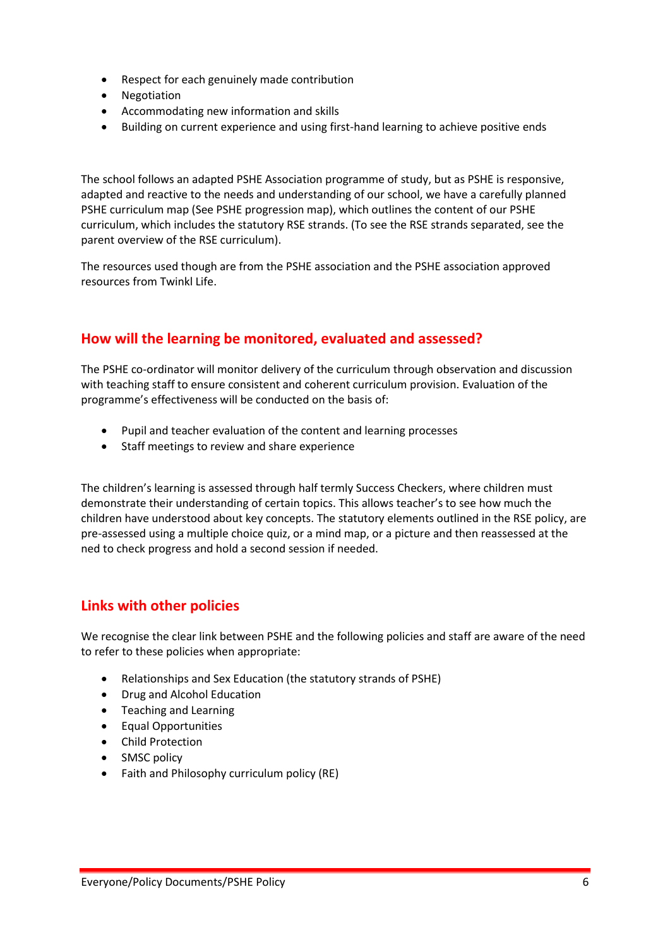- Respect for each genuinely made contribution
- Negotiation
- Accommodating new information and skills
- Building on current experience and using first-hand learning to achieve positive ends

The school follows an adapted PSHE Association programme of study, but as PSHE is responsive, adapted and reactive to the needs and understanding of our school, we have a carefully planned PSHE curriculum map (See PSHE progression map), which outlines the content of our PSHE curriculum, which includes the statutory RSE strands. (To see the RSE strands separated, see the parent overview of the RSE curriculum).

The resources used though are from the PSHE association and the PSHE association approved resources from Twinkl Life.

#### <span id="page-5-0"></span>**How will the learning be monitored, evaluated and assessed?**

The PSHE co-ordinator will monitor delivery of the curriculum through observation and discussion with teaching staff to ensure consistent and coherent curriculum provision. Evaluation of the programme's effectiveness will be conducted on the basis of:

- Pupil and teacher evaluation of the content and learning processes
- Staff meetings to review and share experience

The children's learning is assessed through half termly Success Checkers, where children must demonstrate their understanding of certain topics. This allows teacher's to see how much the children have understood about key concepts. The statutory elements outlined in the RSE policy, are pre-assessed using a multiple choice quiz, or a mind map, or a picture and then reassessed at the ned to check progress and hold a second session if needed.

#### <span id="page-5-1"></span>**Links with other policies**

We recognise the clear link between PSHE and the following policies and staff are aware of the need to refer to these policies when appropriate:

- Relationships and Sex Education (the statutory strands of PSHE)
- Drug and Alcohol Education
- Teaching and Learning
- Equal Opportunities
- Child Protection
- SMSC policy
- Faith and Philosophy curriculum policy (RE)